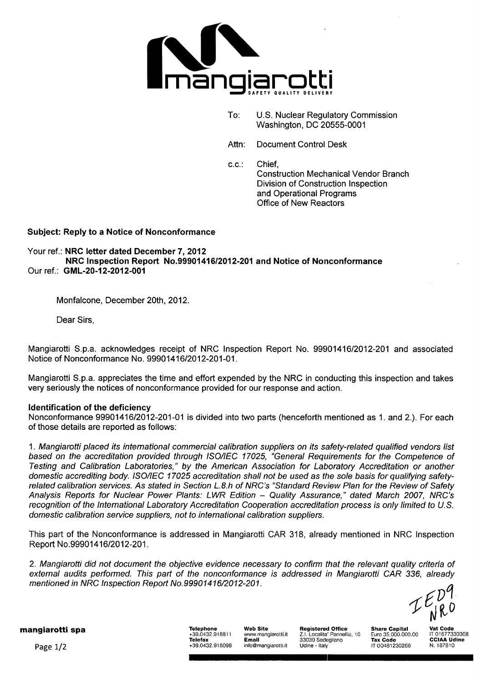

- To: U.S. Nuclear Regulatory Commission Washington, DC 20555-0001
- Attn: Document Control Desk

c.c.: Chief, Construction Mechanical Vendor Branch Division of Construction Inspection and Operational Programs Office of New Reactors

# Subject: Reply to a Notice of Nonconformance

Your ref.: NRC letter dated December 7, 2012 NRC Inspection Report No.99901416/2012-201 and Notice of Nonconformance Our ref.: GML-20-12-2012-001

Monfalcone, December 20th, 2012.

Dear Sirs,

Mangiarotti S.p.a. acknowledges receipt of NRC Inspection Report No. 99901416/2012-201 and associated Notice of Nonconformance No. 99901416/2012-201-01.

Mangiarotti S.p.a. appreciates the time and effort expended by the NRC in conducting this inspection and takes very seriously the notices of nonconformance provided for our response and action.

#### Identification of the deficiency

Nonconformance 99901416/2012-201-01 is divided into two parts (henceforth mentioned as 1. and 2.). For each of those details are reported as follows:

1. *Mangiarotti placed its international commercial calibration suppliers on its safety-related qualified vendors list based on the accreditation provided through ISO/IEC 17025, "General Requirements for the Competence of Testing and Calibration Laboratories," by the American Association for Laboratory Accreditation or another domestic accrediting body. ISO/IEC 17025 accreditation shall not be used as the sole basis for qualifying safetyrelated calibration services. As stated in Section L.8.h of NRC's "Standard Review Plan for the Review of Safety Analysis Reports for Nuclear Power Plants: LWR Edition* - *Quality Assurance," dated March 2007, NRC's recognition of the International Laboratory Accreditation Cooperation accreditation process is only limited to U.S. domestic calibration service suppliers, not to international calibration suppliers.*

This part of the Nonconformance is addressed in Mangiarotti CAR 318, already mentioned in NRC Inspection Report No.99901416/2012-201.

2. *Mangiarotti did not document the objective evidence necessary to confirm that the relevant quality criteria of external audits performed. This part of the nonconformance is addressed in Mangiarotti CAR 336, already mentioned in NRC Inspection Report No. 99901416/2012-201.*

mangiarotti spa Telephone Web Site Registered Office Share Capital Vat Code

**Telephone Web Site Registered Office Share Capital Vat Code**<br>+39.0432.918811 www.mangiarotti.it Z.I. Localita' Pannellia, 10 Euro 35.000.000.00 IT 01677330308 Telefax Email 33039 Sedegliano Tax Code **CCIAA** Udine Page 1/2 **Fig. 2008** +39.0432.918098 info@mangiarotti.it Udine - Italy IT 00481230266 N. 187810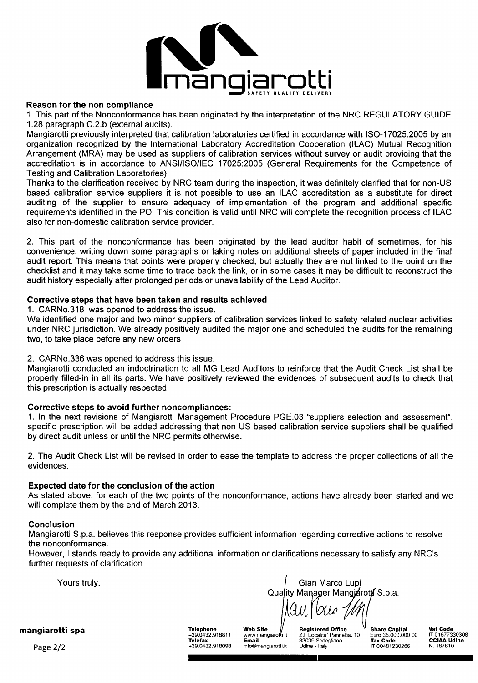

#### Reason for the non compliance

1. This part of the Nonconformance has been originated by the interpretation of the NRC REGULATORY GUIDE 1.28 paragraph C.2.b (external audits).

Mangiarotti previously interpreted that calibration laboratories certified in accordance with ISO-17025:2005 by an organization recognized by the International Laboratory Accreditation Cooperation (ILAC) Mutual Recognition Arrangement (MRA) may be used as suppliers of calibration services without survey or audit providing that the accreditation is in accordance to ANSI/ISO/IEC 17025:2005 (General Requirements for the Competence of Testing and Calibration Laboratories).

Thanks to the clarification received by NRC team during the inspection, it was definitely clarified that for non-US based calibration service suppliers it is not possible to use an ILAC accreditation as a substitute for direct auditing of the supplier to ensure adequacy of implementation of the program and additional specific requirements identified in the P0. This condition is valid until NRC will complete the recognition process of ILAC also for non-domestic calibration service provider.

2. This part of the nonconformance has been originated by the lead auditor habit of sometimes, for his convenience, writing down some paragraphs or taking notes on additional sheets of paper included in the final audit report. This means that points were properly checked, but actually they are not linked to the point on the checklist and it may take some time to trace back the link, or in some cases it may be difficult to reconstruct the audit history especially after prolonged periods or unavailability of the Lead Auditor.

#### Corrective steps that have been taken and results achieved

1. CARNo.318 was opened to address the issue.

We identified one major and two minor suppliers of calibration services linked to safety related nuclear activities under NRC jurisdiction. We already positively audited the major one and scheduled the audits for the remaining two, to take place before any new orders

# 2. CARNo.336 was opened to address this issue.

Mangiarotti conducted an indoctrination to all MG Lead Auditors to reinforce that the Audit Check List shall be properly filled-in in all its parts. We have positively reviewed the evidences of subsequent audits to check that this prescription is actually respected.

# Corrective steps to avoid further noncompliances:

1. In the next revisions of Mangiarotti Management Procedure PGE.03 "suppliers selection and assessment", specific prescription will be added addressing that non US based calibration service suppliers shall be qualified by direct audit unless or until the NRC permits otherwise.

2. The Audit Check List will be revised in order to ease the template to address the proper collections of all the evidences.

# Expected date for the conclusion of the action

As stated above, for each of the two points of the nonconformance, actions have already been started and we will complete them by the end of March 2013.

#### Conclusion

Mangiarotti S.p.a. believes this response provides sufficient information regarding corrective actions to resolve the nonconformance.

However, I stands ready to provide any additional information or clarifications necessary to satisfy any NRC's further requests of clarification.

Yours truly, Gian Marco Lupi Quality Manager Mangjarotti S.p.a.  $\frac{1}{\sqrt{2\pi}}$ 

+39.0432.918811 wwwrmangiarot i.it Z.1. Localita' Pannellia, 10 Euro 35.000.000,00 IT 01677330308

mangiarotti spa

Telefax Email 33039 Sedegliano Euro 35.000.000,00 LT 0167733030<br>Telefax Code Comail 33039 Sedegliano Tax Code CCIAA Udine<br>T 00481239266 N. 187810 Page 2/2 **120 120 120 120 130 130 130 130 130 130 130 130 140 140 140 140 140 140 140 17 00481230266 N. 187810**